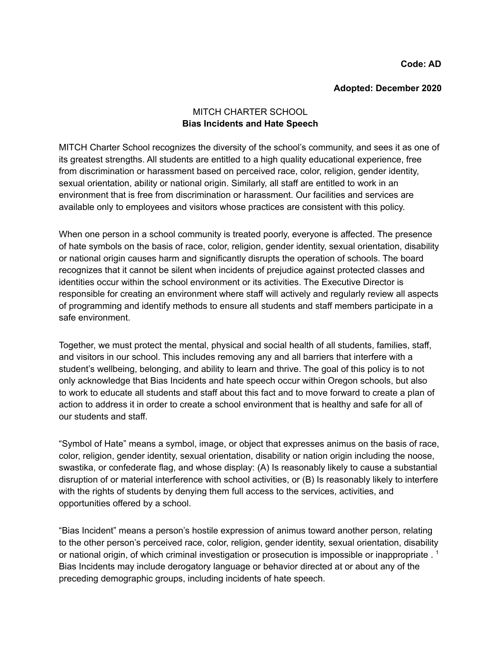**Code: AD**

#### **Adopted: December 2020**

# MITCH CHARTER SCHOOL **Bias Incidents and Hate Speech**

MITCH Charter School recognizes the diversity of the school's community, and sees it as one of its greatest strengths. All students are entitled to a high quality educational experience, free from discrimination or harassment based on perceived race, color, religion, gender identity, sexual orientation, ability or national origin. Similarly, all staff are entitled to work in an environment that is free from discrimination or harassment. Our facilities and services are available only to employees and visitors whose practices are consistent with this policy.

When one person in a school community is treated poorly, everyone is affected. The presence of hate symbols on the basis of race, color, religion, gender identity, sexual orientation, disability or national origin causes harm and significantly disrupts the operation of schools. The board recognizes that it cannot be silent when incidents of prejudice against protected classes and identities occur within the school environment or its activities. The Executive Director is responsible for creating an environment where staff will actively and regularly review all aspects of programming and identify methods to ensure all students and staff members participate in a safe environment.

Together, we must protect the mental, physical and social health of all students, families, staff, and visitors in our school. This includes removing any and all barriers that interfere with a student's wellbeing, belonging, and ability to learn and thrive. The goal of this policy is to not only acknowledge that Bias Incidents and hate speech occur within Oregon schools, but also to work to educate all students and staff about this fact and to move forward to create a plan of action to address it in order to create a school environment that is healthy and safe for all of our students and staff.

"Symbol of Hate" means a symbol, image, or object that expresses animus on the basis of race, color, religion, gender identity, sexual orientation, disability or nation origin including the noose, swastika, or confederate flag, and whose display: (A) Is reasonably likely to cause a substantial disruption of or material interference with school activities, or (B) Is reasonably likely to interfere with the rights of students by denying them full access to the services, activities, and opportunities offered by a school.

"Bias Incident" means a person's hostile expression of animus toward another person, relating to the other person's perceived race, color, religion, gender identity, sexual orientation, disability or national origin, of which criminal investigation or prosecution is impossible or inappropriate .<sup>1</sup> Bias Incidents may include derogatory language or behavior directed at or about any of the preceding demographic groups, including incidents of hate speech.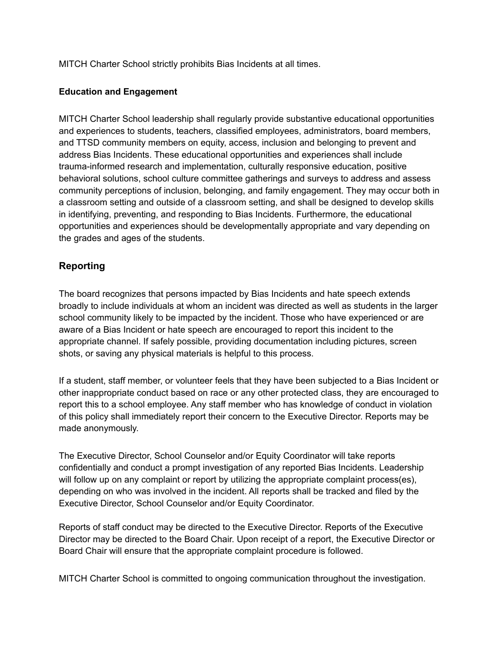MITCH Charter School strictly prohibits Bias Incidents at all times.

## **Education and Engagement**

MITCH Charter School leadership shall regularly provide substantive educational opportunities and experiences to students, teachers, classified employees, administrators, board members, and TTSD community members on equity, access, inclusion and belonging to prevent and address Bias Incidents. These educational opportunities and experiences shall include trauma-informed research and implementation, culturally responsive education, positive behavioral solutions, school culture committee gatherings and surveys to address and assess community perceptions of inclusion, belonging, and family engagement. They may occur both in a classroom setting and outside of a classroom setting, and shall be designed to develop skills in identifying, preventing, and responding to Bias Incidents. Furthermore, the educational opportunities and experiences should be developmentally appropriate and vary depending on the grades and ages of the students.

# **Reporting**

The board recognizes that persons impacted by Bias Incidents and hate speech extends broadly to include individuals at whom an incident was directed as well as students in the larger school community likely to be impacted by the incident. Those who have experienced or are aware of a Bias Incident or hate speech are encouraged to report this incident to the appropriate channel. If safely possible, providing documentation including pictures, screen shots, or saving any physical materials is helpful to this process.

If a student, staff member, or volunteer feels that they have been subjected to a Bias Incident or other inappropriate conduct based on race or any other protected class, they are encouraged to report this to a school employee. Any staff member who has knowledge of conduct in violation of this policy shall immediately report their concern to the Executive Director. Reports may be made anonymously.

The Executive Director, School Counselor and/or Equity Coordinator will take reports confidentially and conduct a prompt investigation of any reported Bias Incidents. Leadership will follow up on any complaint or report by utilizing the appropriate complaint process(es), depending on who was involved in the incident. All reports shall be tracked and filed by the Executive Director, School Counselor and/or Equity Coordinator.

Reports of staff conduct may be directed to the Executive Director. Reports of the Executive Director may be directed to the Board Chair. Upon receipt of a report, the Executive Director or Board Chair will ensure that the appropriate complaint procedure is followed.

MITCH Charter School is committed to ongoing communication throughout the investigation.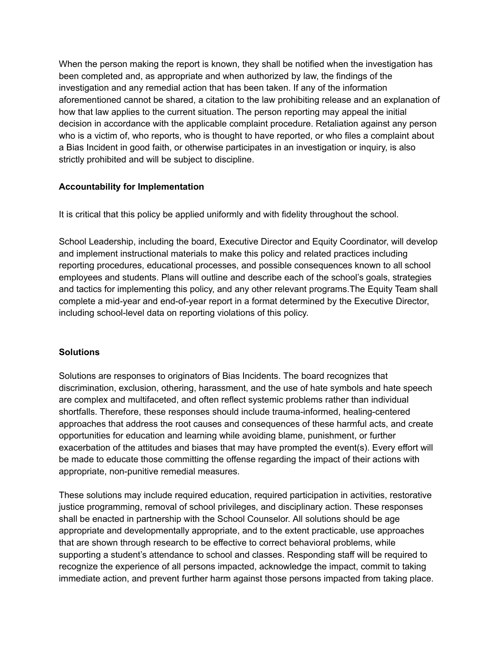When the person making the report is known, they shall be notified when the investigation has been completed and, as appropriate and when authorized by law, the findings of the investigation and any remedial action that has been taken. If any of the information aforementioned cannot be shared, a citation to the law prohibiting release and an explanation of how that law applies to the current situation. The person reporting may appeal the initial decision in accordance with the applicable complaint procedure. Retaliation against any person who is a victim of, who reports, who is thought to have reported, or who files a complaint about a Bias Incident in good faith, or otherwise participates in an investigation or inquiry, is also strictly prohibited and will be subject to discipline.

## **Accountability for Implementation**

It is critical that this policy be applied uniformly and with fidelity throughout the school.

School Leadership, including the board, Executive Director and Equity Coordinator, will develop and implement instructional materials to make this policy and related practices including reporting procedures, educational processes, and possible consequences known to all school employees and students. Plans will outline and describe each of the school's goals, strategies and tactics for implementing this policy, and any other relevant programs.The Equity Team shall complete a mid-year and end-of-year report in a format determined by the Executive Director, including school-level data on reporting violations of this policy.

### **Solutions**

Solutions are responses to originators of Bias Incidents. The board recognizes that discrimination, exclusion, othering, harassment, and the use of hate symbols and hate speech are complex and multifaceted, and often reflect systemic problems rather than individual shortfalls. Therefore, these responses should include trauma-informed, healing-centered approaches that address the root causes and consequences of these harmful acts, and create opportunities for education and learning while avoiding blame, punishment, or further exacerbation of the attitudes and biases that may have prompted the event(s). Every effort will be made to educate those committing the offense regarding the impact of their actions with appropriate, non-punitive remedial measures.

These solutions may include required education, required participation in activities, restorative justice programming, removal of school privileges, and disciplinary action. These responses shall be enacted in partnership with the School Counselor. All solutions should be age appropriate and developmentally appropriate, and to the extent practicable, use approaches that are shown through research to be effective to correct behavioral problems, while supporting a student's attendance to school and classes. Responding staff will be required to recognize the experience of all persons impacted, acknowledge the impact, commit to taking immediate action, and prevent further harm against those persons impacted from taking place.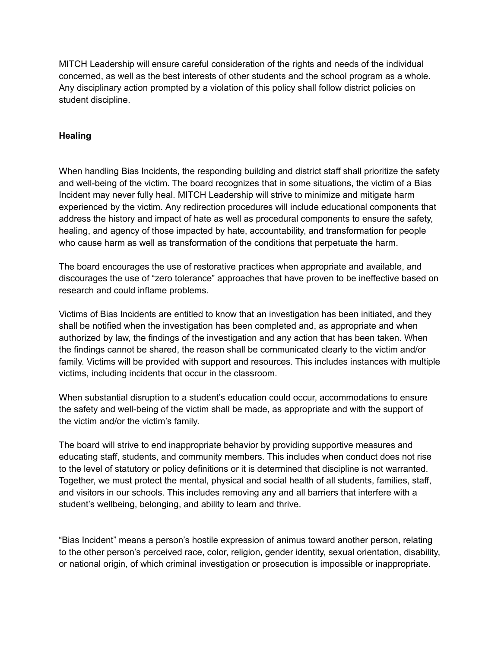MITCH Leadership will ensure careful consideration of the rights and needs of the individual concerned, as well as the best interests of other students and the school program as a whole. Any disciplinary action prompted by a violation of this policy shall follow district policies on student discipline.

### **Healing**

When handling Bias Incidents, the responding building and district staff shall prioritize the safety and well-being of the victim. The board recognizes that in some situations, the victim of a Bias Incident may never fully heal. MITCH Leadership will strive to minimize and mitigate harm experienced by the victim. Any redirection procedures will include educational components that address the history and impact of hate as well as procedural components to ensure the safety, healing, and agency of those impacted by hate, accountability, and transformation for people who cause harm as well as transformation of the conditions that perpetuate the harm.

The board encourages the use of restorative practices when appropriate and available, and discourages the use of "zero tolerance" approaches that have proven to be ineffective based on research and could inflame problems.

Victims of Bias Incidents are entitled to know that an investigation has been initiated, and they shall be notified when the investigation has been completed and, as appropriate and when authorized by law, the findings of the investigation and any action that has been taken. When the findings cannot be shared, the reason shall be communicated clearly to the victim and/or family. Victims will be provided with support and resources. This includes instances with multiple victims, including incidents that occur in the classroom.

When substantial disruption to a student's education could occur, accommodations to ensure the safety and well-being of the victim shall be made, as appropriate and with the support of the victim and/or the victim's family.

The board will strive to end inappropriate behavior by providing supportive measures and educating staff, students, and community members. This includes when conduct does not rise to the level of statutory or policy definitions or it is determined that discipline is not warranted. Together, we must protect the mental, physical and social health of all students, families, staff, and visitors in our schools. This includes removing any and all barriers that interfere with a student's wellbeing, belonging, and ability to learn and thrive.

"Bias Incident" means a person's hostile expression of animus toward another person, relating to the other person's perceived race, color, religion, gender identity, sexual orientation, disability, or national origin, of which criminal investigation or prosecution is impossible or inappropriate.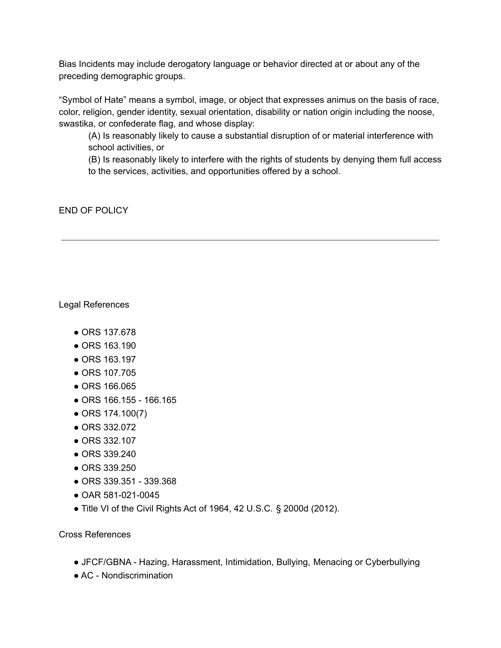Bias Incidents may include derogatory language or behavior directed at or about any of the preceding demographic groups.

"Symbol of Hate" means a symbol, image, or object that expresses animus on the basis of race, color, religion, gender identity, sexual orientation, disability or nation origin including the noose, swastika, or confederate flag, and whose display:

(A) Is reasonably likely to cause a substantial disruption of or material interference with school activities, or

(B) Is reasonably likely to interfere with the rights of students by denying them full access to the services, activities, and opportunities offered by a school.

END OF POLICY

Legal References

- ORS 137.678
- ORS 163.190
- ORS 163.197
- ORS 107.705
- ORS 166.065
- ORS 166.155 166.165
- ORS 174.100(7)
- ORS 332.072
- ORS 332.107
- ORS 339.240
- ORS 339.250
- ORS 339.351 339.368
- OAR 581-021-0045
- Title VI of the Civil Rights Act of 1964, 42 U.S.C. § 2000d (2012).

Cross References

- JFCF/GBNA Hazing, Harassment, Intimidation, Bullying, Menacing or Cyberbullying
- AC Nondiscrimination